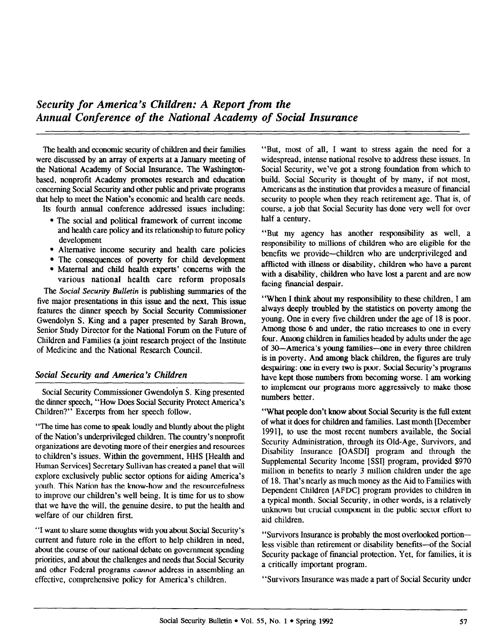The health and economic security of children and their families were discussed by an array of experts at a January meeting of the National Academy of Social Insurance. The Washingtonbased, nonprofit Academy promotes research and education concerning Social Security and other public and private programs that help to meet the Nation's economic and health care needs.

Its fourth ammal conference addressed issues including:

- $\bullet$  The social and political framework of current income and health care policy and its relationship to future policy development
- Alternative income security and health care policies
- The consequences of poverty for child development
- Maternal and child health experts' concerns with the various national health care reform proposals

The Social Security Bulletin is publishing summaries of the five major presentations in this issue and the next. This issue features the dinner speech by Social Security Commissioner Gwendolyn S. King and a paper presented by Sarah Brown, Senior Study Director for the National Forum on the Future of Children and Families (a joint research project of the Institute of Medicine and the National Research Council.

## Social Security and America's Children

Social Security Commissioner Gwendolyn S. King presented the dinner speech, "How Does Social Security Protect America's Children?" Excerpts from her speech follow.

"The time has come to speak loudly and bluntly about the plight of the Nation's underprivileged children. The country's nonprofit organizations are devoting more of their energies and resources to children's issues. Within the government, HHS [Health and Human Services] Secretary Sullivan has created a panel that will explore exclusively public sector options for aiding America's youth. This Nation has the know-how and the resourcefulness to improve our children's well being. It is time for us to show that we have the will, the genuine desire, to put the health and welfare of our children first.

"I want to share some thoughts with you about Social Security's current and future role in the effort to help children in need, about the course of our national debate on government spending priorities, and about the challenges and needs that Social Security and other Federal programs cannot address in assembling an effective, comprehensive policy for America's children.

"But, most of all, I want to stress again the need for a widespread, intense national resolve to address these issues. In Social Security, we've got a strong foundation from which to build. Social Security is thought of by many, if not most, Americans as the institution that provides a measure of financial security to people when they reach retirement age. That is, of course, a job that Social Security has done very well for over half a century.

"But my agency has another responsibility as well, a responsibility to millions of children who are eligible for the benefits we provide-children who are underprivileged and afflicted with ilhress or disability, children who have a parent with a disability, children who have lost a parent and are now facing financial despair.

"When I think about my responsibility to these children, I am always deeply troubled by the statistics on poverty among the young. One in every five children under the age of 18 is poor. Among those 6 and under, the ratio increases to one in every four. Among children in families headed by adults under the age of 30-America's young families-one in every three children is in poverty. And among black children, the figures are truly despairing: one in every two is poor. Social Security's programs have kept those numbers from becoming worse. I am working to implement our programs more aggressively to make those numbers better.

"What people don't know about Social Security is the full extent of what it does for children and families. Last month [December 19911, to use the most recent numbers available, the Social Security Administration, through its Old-Age, Survivors, and Disability Insurance [OASDI] program and through the Supplemental Security Income [SSI] program, provided \$970 million in benefits to nearly 3 million children under the age of 18. That's nearly as much money as the Aid to Families with Dependent Children [AFDC] program provides to children in a typical month. Social Security, in other words, is a relatively unknown but crucial component in the public sector effort to aid children.

"Survivors Insurance is probably the most overlooked portionless visible than retirement or disability benefits-of the Social Security package of financial protection. Yet, for families, it is a critically important program.

"Survivors Insurance was made a part of Social Security under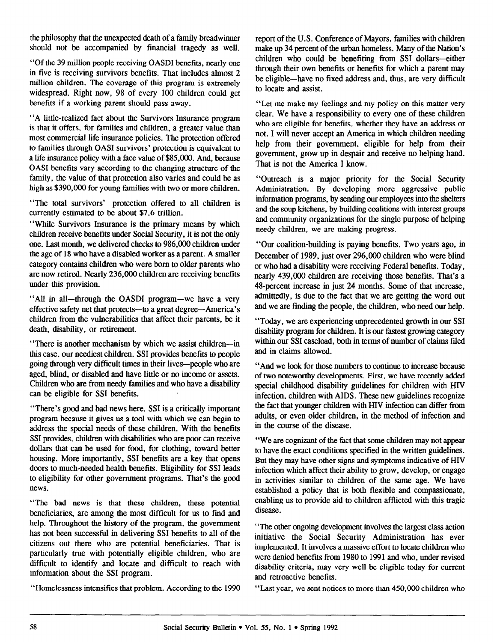the philosophy that the unexpected death of a family breadwinner should not be accompanied by financial tragedy as well.

"Of the 39 million people receiving OASDI benefits, nearly one in five is receiving survivors benefits. That includes almost 2 million children. The coverage of this program is extremely widespread. Bight now, 98 of every 100 children could get benefits if a working parent should pass away.

"A little-realized fact about the Survivors Insurance program is that it offers, for families and children, a greater value than most commercial life insurance policies. The protection offered to families through OASI survivors' protection is equivalent to a life insurance policy with a face value of \$85,000. And, because OASI benefits vary according to the changing structure of the family, the value of that protection also varies and could be as high as \$390,000 for young families with two or more children.

"The total survivors' protection offered to all children is currently estimated to be about \$7.6 trillion.

"While Survivors Insurance is the primary means by which children receive benefits under Social Security, it is not the only one. Last month, we delivered checks to 986,000 children under the age of 18 who have a disabled worker as a parent. A smaller category contains children who were born to older parents who are now retired. Nearly 236,000 children are receiving benefits under this provision.

"All in all—through the OASDI program—we have a very effective safety net that protects-to a great degree-America's children from the vulnerabilities that affect their parents, be it death, disability, or retirement.

"There is another mechanism by which we assist children-in this case, our neediest children. SSI provides benefits to people going through very difficult times in their lives-people who are aged, blind, or disabled and have little or no income or assets. Children who are from needy families and who have a disability can be eligible for SSI benefits.

"There's good and bad news here. SSI is a critically important program because it gives us a tool with which we can begin to address the special needs of these children. With the benefits SSI provides, children with disabilities who are poor can receive dollars that can be used for food, for clothing, toward better housing. More importantly, SSI benefits are a key that opens doors to much-needed health benefits. Eligibility for SSI leads to eligibility for other government programs. That's the good news.

"The bad news is that these children, these potential beneficiaries, are among the most difficult for us to find and help. Throughout the history of the program, the government has not been successful in delivering SSI benefits to all of the citizens out there who are potential beneficiaries. That is particularly true with potentially eligible children, who are paracularly true with potentially engine emitteen, who are uniformation about the SSI program.

report of the U.S. Conference of Mayors, families with children make up 34 percent of the urban homeless. Many of the Nation's children who could be benefiting from SSI dollars-either through their own benefits or benefits for which a parent may be eligible-have no fixed address and, thus, are very difficult to locate and assist.

"Let me make my feelings and my policy on this matter very clear. We have a responsibility to every one of these children who are eligible for benefits, whether they have an address or not. I will never accept an America in which children needing help from their government, eligible for help from their government, grow up in despair and receive no helping hand. That is not the America I know.

"Outreach is a major priority for the Social Security Administration. By developing more aggressive public infotmation programs, by sending our employees into the shelters and the soup kitchens, by building coalitions with interest groups and community organizations for the single purpose of helping needy children, we are making progress.

"Our coalition-building is paying benefits. Two years ago, in December of 1989, just over 296,000 children who were blind or who had a disability were receiving Federal benefits. Today, nearly 439.000 children are receiving those benefits. That's a 48-percent increase in just 24 months. Some of that increase, admittedly, is due to the fact that we are getting the word out and we are finding the people, the children, who need our help.

"Today, we are experiencing unprecedented growth in our SSI disability program for children. It is our fastest growing category within our SSI caseload, both in terms of number of claims filed and in claims allowed.

"And we look for those numbers to continue to increase because of two noteworthy developments. First, we have recently added special childhood disability guidelines for children with HIV infection, children with AIDS. These new guidelines recognize the fact that younger children with HIV infection can differ from adults, or even older children, in the method of infection and in the course of the disease.

"We are cognizant of the fact that some children may not appear to have the exact conditions specified in the written guidelines. But they may have other signs and symptoms indicative of HIV infection which affect their ability to grow, develop, or engage in activities similar to children of the same age. We have established a policy that is both flexible and compassionate, enabling us to provide aid to children afflicted with this tragic disease.

"The other ongoing development involves the largest class action initiative the Social Security Administration has ever implemented. It involves a massive effort to locate children who were denied benefits from 1980 to 1991 and who, under revised were defined beherits from 1960 to 1991 and who, under revised  $\frac{1}{2}$  and  $\frac{1}{2}$  control in  $\frac{1}{2}$ mormation about the SSI program.<br>
"Homelessness intensifies that problem. According to the 1990 "Last year, we sent notices to more than 450,000 children who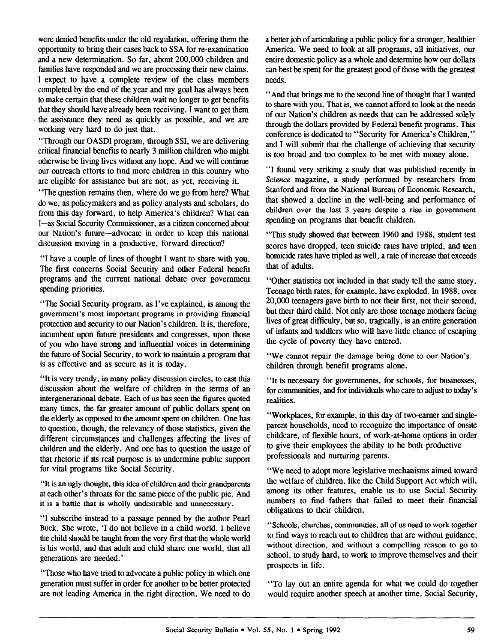were denied benefits under the old regulation, offering them the opportunity to bring their cases back to SSA for re-examination and a new determination. So far, about 200,000 children and families have responded and we are processing their new claims. I expect to have a complete review of the class members completed by the end of the year and my goal has always been to make certain that these children wait no longer to get benefits that they should have already been receiving. I want to get them the assistance they need as quickly as possible, and we are working very hard to do just that.

"Through our OASDI program, through SSI. we are delivering critical financial benefits to nearly 3 million children who might otherwise be living lives without any hope. And we will continue our outreach efforts to find more children in this country who are eligible for assistance but are not, as yet, receiving it.

"The question remains then, where do we go from here? What do we, as policymakers and as policy analysts and scholars, do from this day forward, to help America's children? What can I-as Social Security Commissioner, as a citizen concerned about our Nation's future-advocate in order to keep this national discussion moving in a productive, forward direction?

"I have a couple of lines of thought I want to share with you. The first concerns Social Security and other Federal benefit programs and the current national debate over government spending priorities.

"The Social Security program, as I've explained, is among the government's most important programs in providing financial protection and security to our Nation's children. It is, therefore, incumbent upon future presidents and congresses, upon those of you who have strong and influential voices in determining the future of Social Security, to work to maintain a program that is as effective and as secure as it is today.

"It is very trendy, in many policy discussion circles, to cast this discussion about the welfare of children in the terms of an intergenerational debate. Each of us has seen the figures quoted many times, the far greater amount of public dollars spent on the elderly as opposed to the amount spent on children. One has to question, though, the relevancy of those statistics, given the different circumstances and challenges affecting the lives of children and the elderly. And one has to question the usage of that rhetoric if its real purpose is to undermine public support for vital programs like Social Security.

"It is an ugly thought, this idea of children and their grandparents at each other's throats for the same piece of the public pie. And it is a battle that is wholly undesirable and unnecessary.

"I subscribe instead to a passage penned by the author Pearl Buck. She wrote, 'I do not believe in a child world. I believe but, one wrote, the notice that the very first that the very first that the very first that the whole world world world world world with the very first that the very first that the very first that the very first that the is the child should be taught from the very first that the whole world, is his world, and that adult and child share one world, that all generations are needed.'

"Those who have tried to advocate a public policy in which one rhose who have tried to advocate a public policy in which one generation must suffer in order for another to be better protected<br>are not leading America in the right direction. We need to do

a better job of articulating a public policy for a stronger, healthier America. We need to look at all programs, all initiatives, our entire domestic policy as a whole and determine how our dollars can best be spent for the greatest good of those with the greatest needs.

"And that brings me to the second line of thought that I wanted to share with you. That is, we cannot afford to look at the needs of our Nation's children as needs that can be addressed solely through the dollars provided by Federal benefit programs. This conference is dedicated to "Security for America's Children," and I will submit that the challenge of achieving that security is too broad and too complex to be met with money alone.

"I found very striking a study that was published recently in Science magazine, a study performed by researchers from Stanford and from the National Bureau of Economic Research, that showed a decline in the well-being and performance of children over the last 3 years despite a rise in government spending on programs that benefit children.

"This study showed that between 1960 and 1988, student test scores have dropped, teen suicide rates have tripled, and teen homicide rates have tripled as well, a rate of increase that exceeds that of adults.

"Other statistics not included in that study tell the same story. Teenage birth rates, for example, have exploded. In 1988. over 20.000 teenagers gave birth to not their first, not their second, but their third child. Not only are those teenage mothers facing lives of great difficulty, but so, tragically, is an entire generation of infants and toddlers who wilI have little chance of escaping the cycle of poverty they have entered.

"We cannot repair the damage being done to our Nation's children through benefit programs alone.

"It is necessary for governments, for schools, for businesses, for communities, and for individuals who care to adjust to today's realities.

"Workplaces, for example, in this day of two-earner and singleparent households, need to recognize the importance of onsite childcare, of flexible hours, of work-at-home options in order to give their employees the ability to be both productive professionals and nurturing parents.

"We need to adopt more legislative mechanisms aimed toward the welfare of children, like the Child Support Act which will, among its other features, enable us to use Social Security  $\frac{1}{2}$  anong its other teatures, chaote us to use social security  $\frac{1}{2}$  and  $\frac{1}{2}$  children.

 $\sim$  schools, churches, communities, all of us need to work to work to work to work to work to work to work to  $\frac{1}{2}$  of  $\frac{1}{2}$  to  $\frac{1}{2}$  out to  $\frac{1}{2}$  are  $\frac{1}{2}$  are without  $\frac{1}{2}$  on  $\frac{1}{2}$ w this ways to reach out to christical that are without guidance, whole direction, and whole a compening reason to go to school, to study hard, to work to improve themselves and their<br>prospects in life.

"To lay out an entire agenda for what we could do together who hay out an entire agenda for what we could do together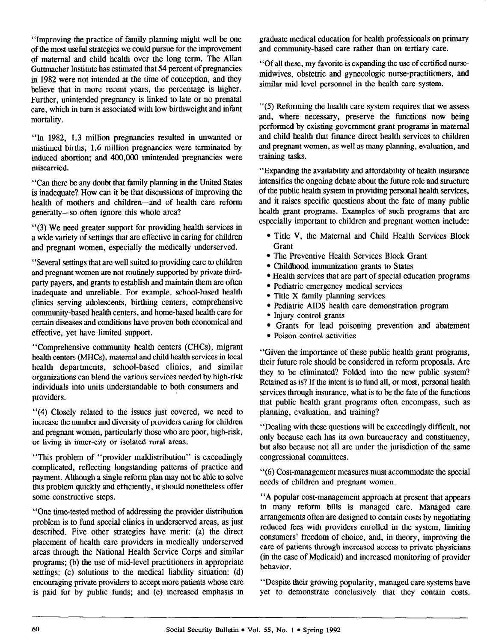"Improving the practice of family planning might well be one of the most useful strategies we could pursue for the improvement of maternal and child health over the long term. The Allan Guttmacher Institute has estimated that 54 percent of pregnancies in 1982 were not intended at the time of conception, and they believe that in more recent years, the percentage is higher. Further, unintended pregnancy is linked to late or no prenatal care, which in turn is associated with low birthweight and infant mortality.

"In 1982, 1.3 million pregnancies resulted in unwanted or mistimed births; 1.6 million pregnancies were terminated by induced abortion; and 400,000 unintended pregnancies were miscarried.

"Can there be any doubt that family planning in the United States is inadequate? How can it be that discussions of improving the health of mothers and children-and of health care reform generally-so often ignore this whole area?

"(3) We need greater support for providing health services in a wide variety of settings that are effective in caring for children and pregnant women, especially the medically underserved

"Several settings that are well suited to providing care to children and pregnant women are not routinely supported by private thirdparty payers, and grants to establish and maintain them are often inadequate and unreliable. For example, school-based health clinics serving adolescents, birthing centers, comprehensive community-based health centers, and home-based health care for certain diseases and conditions have proven both economical and effective, yet have limited support.

"Comprehensive community health centers (CHCs), migrant health centers (MHCs), maternal and child health services in local health departments, school-based clinics, and similar organizations can blend the various services needed by high-risk individuals into units understandable to both consumers and providers.

"(4) Closely related to the issues just covered, we need to increase the number and diversity of providers caring for children and pregnant women, particularly those who are poor, high-risk, or living in inner-city or isolated rural areas.

"This problem of "provider maldistribution" is exceedingly complicated, reflecting longstanding patterns of practice and payment. Although a single reform plan may not be able to solve this problem quickly and efficiently, it should nonetheless offer some constructive steps.

"One time-tested method of addressing the provider distribution problem is to fund special clinics in underserved areas, as just  $\mu$ described. Figure strategies have meritted were also the direction of direction  $\mu$  $\alpha$ placement of health care providers in medically underserved<br>areas through the National Health Service Corps and similar areas unough the readonal frequency corps and summarized proportion programs, (b) the use of mid-lever practitioners in appropriate settings; (c) solutions to the medical liability situation; (d) encouraging private providers to accept more patients whose care<br>is paid for by public funds; and (e) increased emphasis in graduate medical education for health professionals on primary and community-based care rather than on tertiary care.

"Of all these, my favorite is expanding the use of certified nursemidwives, obstetric and gynecologic nurse-practitioners, and similar mid-level personnel in the health care system.

"(5) Reforming the health care system requires that we assess and, where necessary, preserve the functions now being performed by existing government grant programs in maternal and child health that finance direct health services to children and pregnant women, as well as many planning, evaluation, and training tasks.

"Expanding the availability and affordability of health insurance intensifies the ongoing debate about the future role and structure of the public health system in providing personal health services, and it raises specific questions about the fate of many public health grant programs. Examples of such programs that are especially important to children and pregnant women include:

- Title V, the Maternal and Child Health Services Block **Grant**
- The Preventive Health Services Block Grant
- Childhood immunization grants to States
- Health services that are part of special education programs
- Pediatric emergency medical services
- $\bullet$  Title X family planning services
- Pediatric AIDS health care demonstration program
- Injury control grants
- <sup>l</sup>Grants for lead poisoning prevention and abatement
- Poison control activities

"Given the importance of these public health grant programs, their future role should be considered in reform proposals. Are they to be eliminated? Folded into the new public system? Retained as is? If the intent is to fund all, or most, personal health services through insurance, what is to be the fate of the functions that public health grant programs often encompass, such as planning, evaluation, and training?

"Dealing with these questions will be exceedingly difficult, not only because each has its own bureaucracy and constituency, but also because not all are under the jurisdiction of the same congressional committees.

"(6) Cost-management measures must accommodate the special needs of children and pregnant women.

"A popular cost-management approach at present that appears in many reform bills is managed care. Managed care arrangements often are designed to contain costs by negotiating arrangements onen are designed to comain costs by negonatin request free with provincity embring in the system, immung consumers' freedom of choice, and, in theory, improving the care of patients through increased access to private physicians (in the case of Medicaid) and increased monitoring of provider<br>behavior.

"Despite their growing popularity, managed care systems have bespite their growing popularity, managed care systems have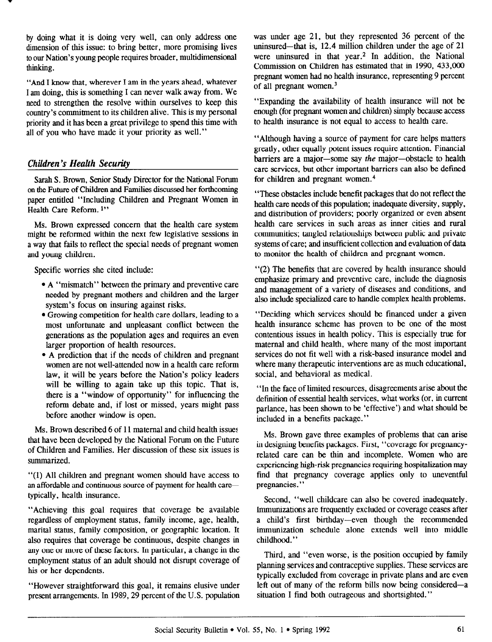by doing what it is doing very well, can only address one dimension of this issue: to bring better, more promising lives to our Nation's young people requires broader, multidimensional thinking.

"And I know that, wherever I am in the years ahead, whatever I am doing, this is something I can never walk away from. We need to strengthen the resolve within ourselves to keep this country's commitment to its children alive. This is my personal priority and it has been a great privilege to spend this time with all of you who have made it your priority as well."

## Children's Health Securiiy

Sarah S. Brown, Senior Study Director for the National Forum on the Future of Children and Families discussed her forthcoming paper entitled "Including Children and Pregnant Women in Health Care Reform.<sup>1"</sup>

Ms. Brown expressed concern that the health care system might be reformed within the next few legislative sessions in a way that fails to reflect the special needs of pregnant women and young children.

Specific worries she cited include:

- A "mismatch" between the primary and preventive care needed by pregnant mothers and children and the larger system's focus on insuring against risks.
- Growing competition for health care dollars, leading to a most unfortunate and unpleasant conflict between the generations as the population ages and requires an even larger proportion of health resources.
- A prediction that if the needs of children and pregnant women are not well-attended now in a health care reform law, it will be years before the Nation's policy leaders will be willing to again take up this topic. That is, there is a "window of opportunity" for influencing the reform debate and, if lost or missed, years might pass before another window is open.

Ms. Brown described 6 of 11 maternal and child health issues that have been developed by the National Forum on the Future of Children and Families. Her discussion of these six issues is summarized.

"(1) All children and pregnant women should have access to an affordable and continuous source of payment for health caretypically, health insurance.

"Achieving this goal requires that coverage be available regardless of employment status, family income, age, health, marital status, family composition, or geographic location. It also requires that coverage be continuous, despite changes in also requires that coverage be commuted with enanges in any one of more of these factors, in particular, a change in the employment status of an adult should not disrupt coverage of his or her dependents.

"However straightforward this goal, it remains elusive under prowever straightforward this goal, it remains enusive under

was under age 21, but they represented 36 percent of the uninsured—that is, 12.4 million children under the age of 21 were uninsured in that year.<sup>2</sup> In addition, the National Commission on Children has estimated that in 1990, 433,000 pregnant women had no health insurance, representing 9 percent of all pregnant women.3

"Expanding the availability of health insurance will not be enough (for pregnant women and children) simply because access to health insurance is not equal to access to health care.

"Although having a source of payment for care helps matters greatly, other equally potent issues require attention. Financial barriers are a major-some say the major-obstacle to health care services, but other important barriers can also be defined for children and pregnant women.4

"These obstacles include benefit packages that do not reflect the health care needs of this population; inadequate diversity, supply, and distribution of providers; poorly organized or even absent health care services in such areas as inner cities and rural communities; tangled relationships between public and private systems of care; and insufficient collection and evaluation of data to monitor the health of children and pregnant women.

"(2) The benefits that are covered by health insurance should emphasize primary and preventive care, include the diagnosis and management of a variety of diseases and conditions, and also include specialized care to handle complex health problems.

"Deciding which services should be financed under a given health insurance scheme has proven to be one of the most contentious issues in health policy. This is especially true for maternal and child health, where many of the most important services do not fit well with a risk-based insurance model and where many therapeutic interventions are as much educational, social, and behavioral as medical.

"In the face of limited resources, disagreements arise about the definition of essential health services, what works (or, in current parlance, has been shown to be 'effective') and what should be included in a benefits package."

Ms. Brown gave three examples of problems that can arise in designing benefits packages. First, "coverage for pregnancyrelated care can be thin and incomplete. Women who are experiencing high-risk pregnancies requiring hospitalization may find that pregnancy coverage applies only to uneventful pregnancies."

Second, "well childcare can also be covered inadequately. Immunizations are frequently excluded or coverage ceases after a child's first birthday-even though the recommended immunization schedule alone extends well into middle childhood."

Third, and "even worse, is the position occupied by family planning services and contraceptive supplies. These services are typically excluded from coverage in private plans and are even left out of many of the reform bills now being considered-a situation I find both outrageous and shortsighted."